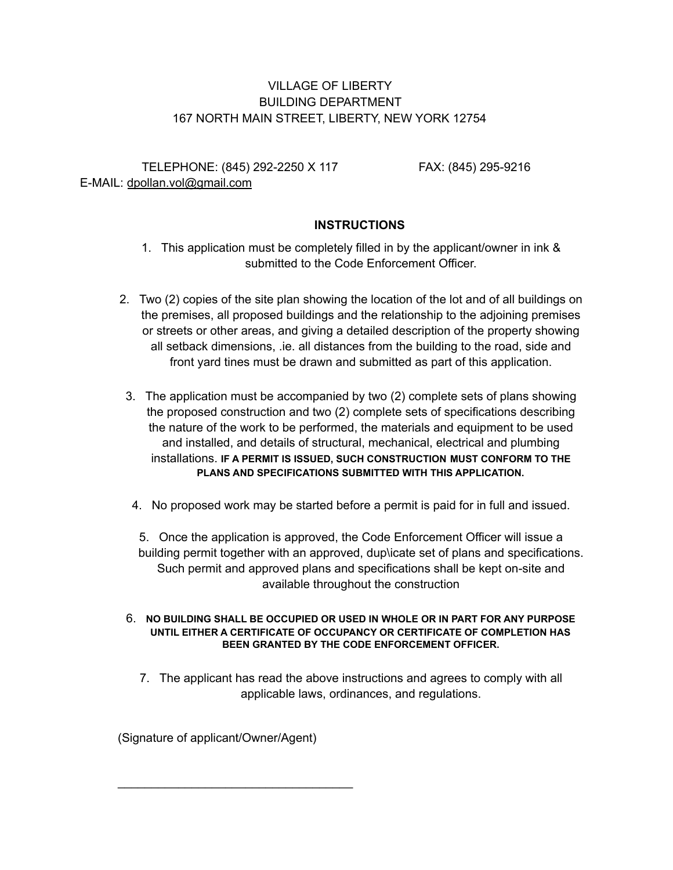## VILLAGE OF LIBERTY BUILDING DEPARTMENT 167 NORTH MAIN STREET, LIBERTY, NEW YORK 12754

TELEPHONE: (845) 292-2250 X 117 FAX: (845) 295-9216 E-MAIL: dpollan.vol@gmail.com

## **INSTRUCTIONS**

- 1. This application must be completely filled in by the applicant/owner in ink & submitted to the Code Enforcement Officer.
- 2. Two (2) copies of the site plan showing the location of the lot and of all buildings on the premises, all proposed buildings and the relationship to the adjoining premises or streets or other areas, and giving a detailed description of the property showing all setback dimensions, .ie. all distances from the building to the road, side and front yard tines must be drawn and submitted as part of this application.
- 3. The application must be accompanied by two (2) complete sets of plans showing the proposed construction and two (2) complete sets of specifications describing the nature of the work to be performed, the materials and equipment to be used and installed, and details of structural, mechanical, electrical and plumbing installations. **IF A PERMIT IS ISSUED, SUCH CONSTRUCTION MUST CONFORM TO THE PLANS AND SPECIFICATIONS SUBMITTED WITH THIS APPLICATION.**
- 4. No proposed work may be started before a permit is paid for in full and issued.

5. Once the application is approved, the Code Enforcement Officer will issue a building permit together with an approved, dup\icate set of plans and specifications. Such permit and approved plans and specifications shall be kept on-site and available throughout the construction

## 6. **NO BUILDING SHALL BE OCCUPIED OR USED IN WHOLE OR IN PART FOR ANY PURPOSE UNTIL EITHER A CERTIFICATE OF OCCUPANCY OR CERTIFICATE OF COMPLETION HAS BEEN GRANTED BY THE CODE ENFORCEMENT OFFICER.**

7. The applicant has read the above instructions and agrees to comply with all applicable laws, ordinances, and regulations.

(Signature of applicant/Owner/Agent)

\_\_\_\_\_\_\_\_\_\_\_\_\_\_\_\_\_\_\_\_\_\_\_\_\_\_\_\_\_\_\_\_\_\_\_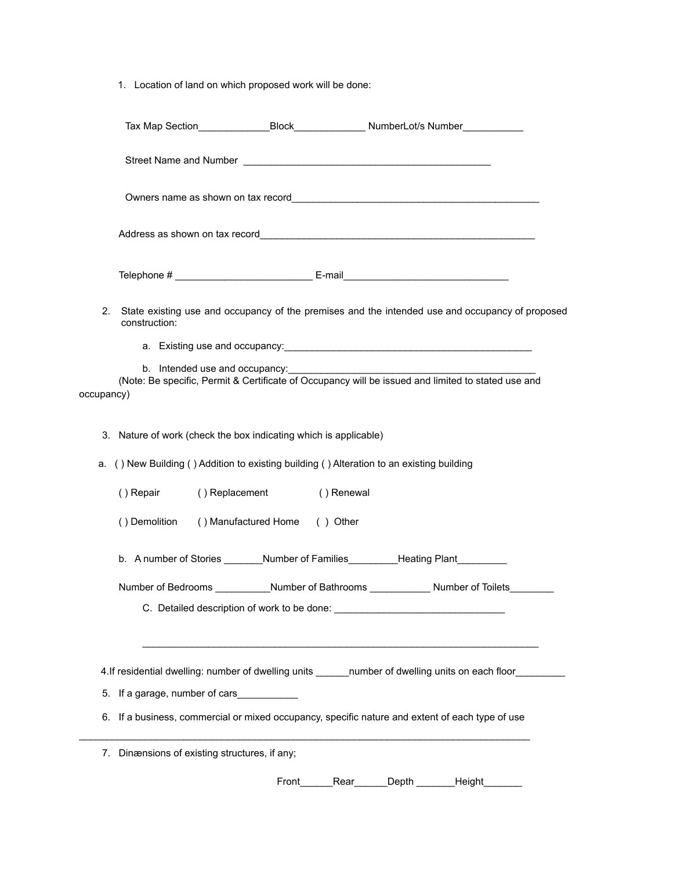1. Location of land on which proposed work will be done:

|            | Tax Map Section__________________Block___________________NumberLot/s Number____________                          |                                             |      |       |        |  |
|------------|------------------------------------------------------------------------------------------------------------------|---------------------------------------------|------|-------|--------|--|
|            |                                                                                                                  |                                             |      |       |        |  |
|            |                                                                                                                  |                                             |      |       |        |  |
|            |                                                                                                                  |                                             |      |       |        |  |
|            |                                                                                                                  |                                             |      |       |        |  |
| 2.         | State existing use and occupancy of the premises and the intended use and occupancy of proposed<br>construction: |                                             |      |       |        |  |
|            |                                                                                                                  |                                             |      |       |        |  |
|            |                                                                                                                  | b. Intended use and occupancy:              |      |       |        |  |
| occupancy) | (Note: Be specific, Permit & Certificate of Occupancy will be issued and limited to stated use and               |                                             |      |       |        |  |
|            |                                                                                                                  |                                             |      |       |        |  |
|            | 3. Nature of work (check the box indicating which is applicable)                                                 |                                             |      |       |        |  |
|            | a. () New Building () Addition to existing building () Alteration to an existing building                        |                                             |      |       |        |  |
|            | () Repair                                                                                                        | () Replacement () Renewal                   |      |       |        |  |
|            | () Demolition () Manufactured Home () Other                                                                      |                                             |      |       |        |  |
|            | b. A number of Stories _______Number of Families _________Heating Plant ________                                 |                                             |      |       |        |  |
|            | Number of Bedrooms ___________Number of Bathrooms _____________Number of Toilets______                           |                                             |      |       |        |  |
|            |                                                                                                                  | C. Detailed description of work to be done: |      |       |        |  |
|            |                                                                                                                  |                                             |      |       |        |  |
|            | 4. If residential dwelling: number of dwelling units _______ number of dwelling units on each floor_             |                                             |      |       |        |  |
|            | 5. If a garage, number of cars                                                                                   |                                             |      |       |        |  |
|            | 6. If a business, commercial or mixed occupancy, specific nature and extent of each type of use                  |                                             |      |       |        |  |
|            | 7. Dinænsions of existing structures, if any;                                                                    |                                             |      |       |        |  |
|            |                                                                                                                  | Front                                       | Rear | Depth | Height |  |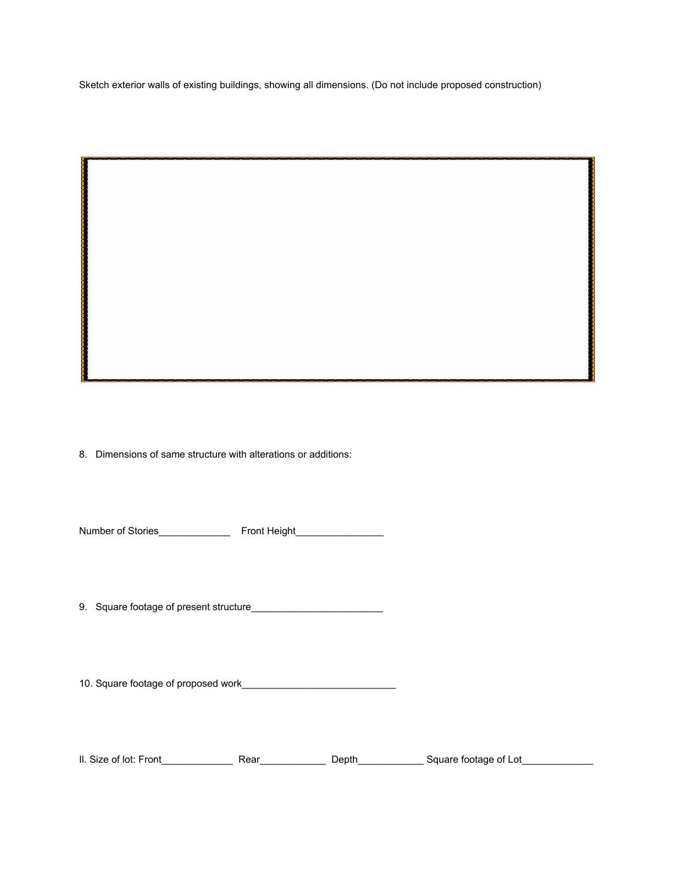Sketch exterior walls of existing buildings, showing all dimensions. (Do not include proposed construction)

8. Dimensions of same structure with alterations or additions:

Number of Stories\_\_\_\_\_\_\_\_\_\_\_\_\_ Front Height\_\_\_\_\_\_\_\_\_\_\_\_\_\_\_\_

9. Square footage of present structure\_\_\_\_\_\_\_\_\_\_\_\_\_\_\_\_\_\_\_\_\_\_\_\_

10. Square footage of proposed work\_\_\_\_\_\_\_\_\_\_\_\_\_\_\_\_\_\_\_\_\_\_\_\_\_\_\_\_

Il. Size of lot: Front\_\_\_\_\_\_\_\_\_\_\_\_\_ Rear\_\_\_\_\_\_\_\_\_\_\_\_ Depth\_\_\_\_\_\_\_\_\_\_\_\_ Square footage of Lot\_\_\_\_\_\_\_\_\_\_\_\_\_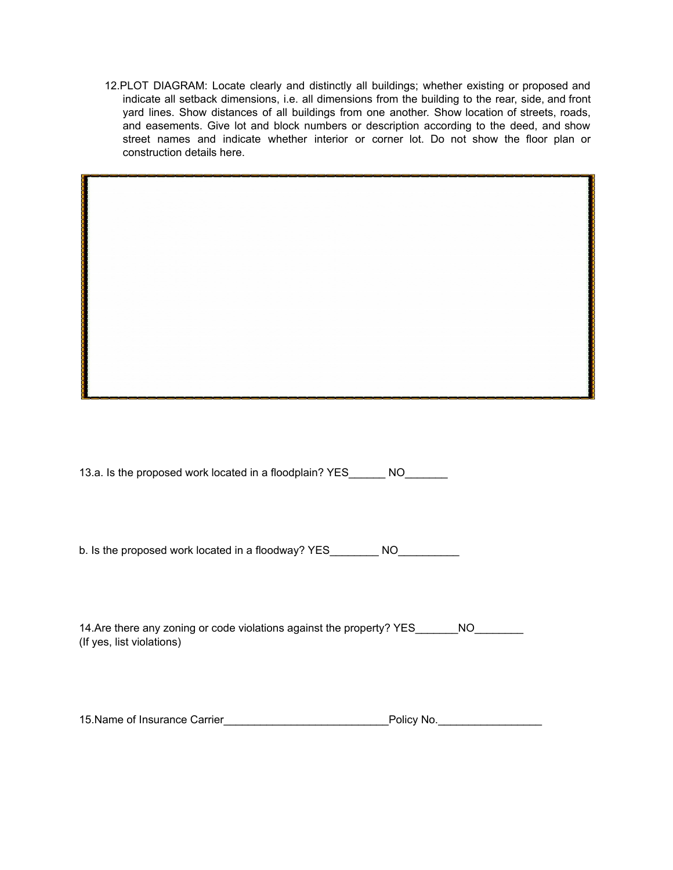12.PLOT DIAGRAM: Locate clearly and distinctly all buildings; whether existing or proposed and indicate all setback dimensions, i.e. all dimensions from the building to the rear, side, and front yard lines. Show distances of all buildings from one another. Show location of streets, roads, and easements. Give lot and block numbers or description according to the deed, and show street names and indicate whether interior or corner lot. Do not show the floor plan or construction details here.

13.a. Is the proposed work located in a floodplain? YES\_\_\_\_\_\_ NO\_\_\_\_\_\_\_

b. Is the proposed work located in a floodway? YES\_\_\_\_\_\_\_\_ NO\_\_\_\_\_\_\_\_\_

14.Are there any zoning or code violations against the property? YES \_\_\_\_\_\_\_\_\_\_\_ (If yes, list violations)

15.Name of Insurance Carrier\_\_\_\_\_\_\_\_\_\_\_\_\_\_\_\_\_\_\_\_\_\_\_\_\_\_\_Policy No.\_\_\_\_\_\_\_\_\_\_\_\_\_\_\_\_\_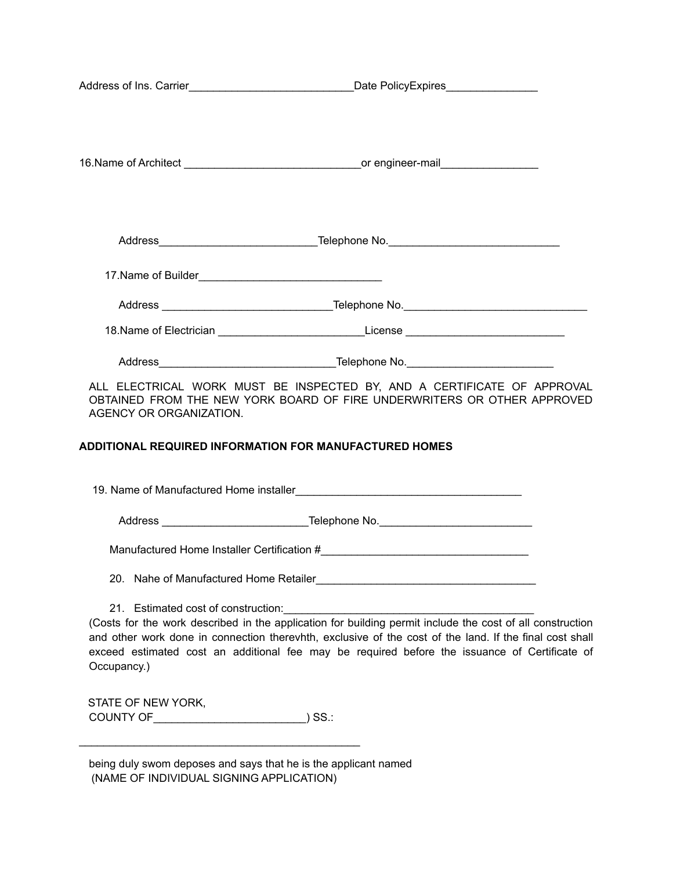|                                     | 18. Name of Electrician _______________________________License _________________                                |  |
|-------------------------------------|-----------------------------------------------------------------------------------------------------------------|--|
|                                     |                                                                                                                 |  |
|                                     | ALL ELECTRICAL WORK MUST BE INSPECTED BY, AND A CERTIFICATE OF APPROVAL                                         |  |
|                                     | OBTAINED FROM THE NEW YORK BOARD OF FIRE UNDERWRITERS OR OTHER APPROVED                                         |  |
| AGENCY OR ORGANIZATION.             |                                                                                                                 |  |
|                                     | <b>ADDITIONAL REQUIRED INFORMATION FOR MANUFACTURED HOMES</b>                                                   |  |
|                                     |                                                                                                                 |  |
|                                     | 19. Name of Manufactured Home installer experience and a series of the control of the control of the control of |  |
|                                     |                                                                                                                 |  |
|                                     |                                                                                                                 |  |
|                                     |                                                                                                                 |  |
|                                     | 20. Nahe of Manufactured Home Retailer                                                                          |  |
| 21. Estimated cost of construction: |                                                                                                                 |  |
|                                     | (Costs for the work described in the application for building permit include the cost of all construction       |  |
|                                     | and other work done in connection therevhth, exclusive of the cost of the land. If the final cost shall         |  |
| Occupancy.)                         | exceed estimated cost an additional fee may be required before the issuance of Certificate of                   |  |
|                                     |                                                                                                                 |  |
| STATE OF NEW YORK,                  |                                                                                                                 |  |
|                                     | $)$ SS $\therefore$                                                                                             |  |

being duly swom deposes and says that he is the applicant named (NAME OF INDIVIDUAL SIGNING APPLICATION)

 $\mathcal{L}_\text{max}$  , and the set of the set of the set of the set of the set of the set of the set of the set of the set of the set of the set of the set of the set of the set of the set of the set of the set of the set of the